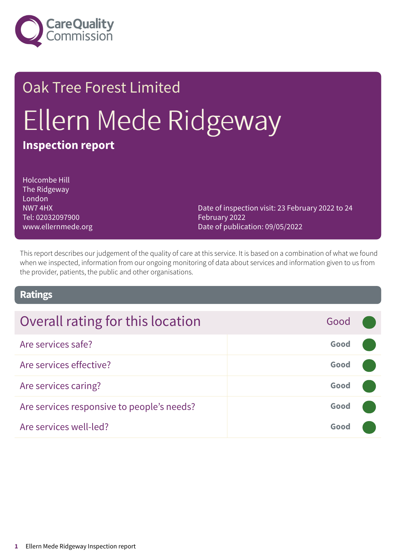

# Oak Tree Forest Limited Ellern Mede Ridgeway **Inspection report**

Holcombe Hill The Ridgeway London NW7 4HX Tel: 02032097900 www.ellernmede.org

Date of inspection visit: 23 February 2022 to 24 February 2022 Date of publication: 09/05/2022

This report describes our judgement of the quality of care at this service. It is based on a combination of what we found when we inspected, information from our ongoing monitoring of data about services and information given to us from the provider, patients, the public and other organisations.

### **Ratings**

| Overall rating for this location           | Good |  |
|--------------------------------------------|------|--|
| Are services safe?                         | Good |  |
| Are services effective?                    | Good |  |
| Are services caring?                       | Good |  |
| Are services responsive to people's needs? | Good |  |
| Are services well-led?                     | Good |  |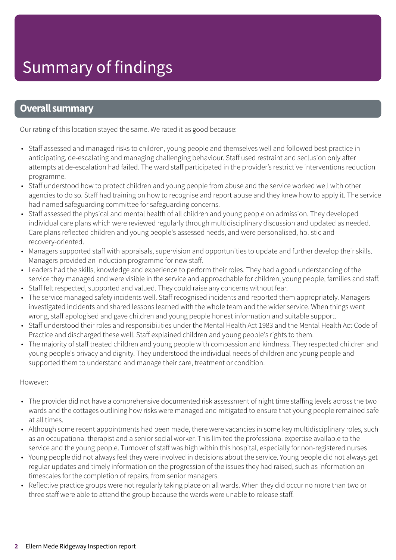### **Overall summary**

Our rating of this location stayed the same. We rated it as good because:

- Staff assessed and managed risks to children, young people and themselves well and followed best practice in anticipating, de-escalating and managing challenging behaviour. Staff used restraint and seclusion only after attempts at de-escalation had failed. The ward staff participated in the provider's restrictive interventions reduction programme.
- Staff understood how to protect children and young people from abuse and the service worked well with other agencies to do so. Staff had training on how to recognise and report abuse and they knew how to apply it. The service had named safeguarding committee for safeguarding concerns.
- Staff assessed the physical and mental health of all children and young people on admission. They developed individual care plans which were reviewed regularly through multidisciplinary discussion and updated as needed. Care plans reflected children and young people's assessed needs, and were personalised, holistic and recovery-oriented.
- Managers supported staff with appraisals, supervision and opportunities to update and further develop their skills. Managers provided an induction programme for new staff.
- Leaders had the skills, knowledge and experience to perform their roles. They had a good understanding of the service they managed and were visible in the service and approachable for children, young people, families and staff.
- Staff felt respected, supported and valued. They could raise any concerns without fear.
- The service managed safety incidents well. Staff recognised incidents and reported them appropriately. Managers investigated incidents and shared lessons learned with the whole team and the wider service. When things went wrong, staff apologised and gave children and young people honest information and suitable support.
- Staff understood their roles and responsibilities under the Mental Health Act 1983 and the Mental Health Act Code of Practice and discharged these well. Staff explained children and young people's rights to them.
- The majority of staff treated children and young people with compassion and kindness. They respected children and young people's privacy and dignity. They understood the individual needs of children and young people and supported them to understand and manage their care, treatment or condition.

#### However:

- The provider did not have a comprehensive documented risk assessment of night time staffing levels across the two wards and the cottages outlining how risks were managed and mitigated to ensure that young people remained safe at all times.
- Although some recent appointments had been made, there were vacancies in some key multidisciplinary roles, such as an occupational therapist and a senior social worker. This limited the professional expertise available to the service and the young people. Turnover of staff was high within this hospital, especially for non-registered nurses
- Young people did not always feel they were involved in decisions about the service. Young people did not always get regular updates and timely information on the progression of the issues they had raised, such as information on timescales for the completion of repairs, from senior managers.
- Reflective practice groups were not regularly taking place on all wards. When they did occur no more than two or three staff were able to attend the group because the wards were unable to release staff.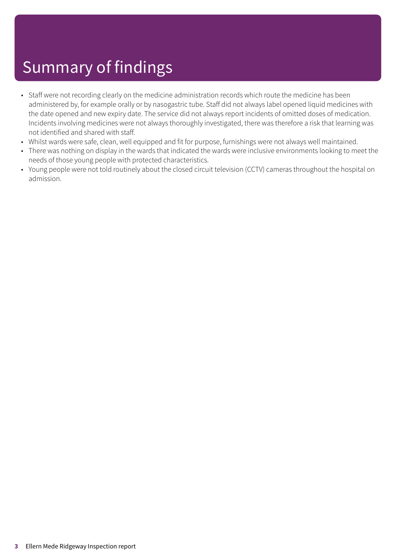# Summary of findings

- Staff were not recording clearly on the medicine administration records which route the medicine has been administered by, for example orally or by nasogastric tube. Staff did not always label opened liquid medicines with the date opened and new expiry date. The service did not always report incidents of omitted doses of medication. Incidents involving medicines were not always thoroughly investigated, there was therefore a risk that learning was not identified and shared with staff.
- Whilst wards were safe, clean, well equipped and fit for purpose, furnishings were not always well maintained.
- There was nothing on display in the wards that indicated the wards were inclusive environments looking to meet the needs of those young people with protected characteristics.
- Young people were not told routinely about the closed circuit television (CCTV) cameras throughout the hospital on admission.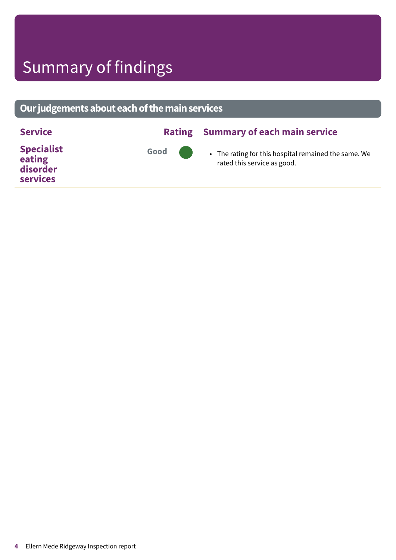# Summary of findings

### **Ourjudgementsabouteachofthemainservices**

| <b>Service</b>                                             | <b>Rating</b>  | <b>Summary of each main service</b>                                                 |
|------------------------------------------------------------|----------------|-------------------------------------------------------------------------------------|
| <b>Specialist</b><br>eating<br>disorder<br><b>services</b> | Good <b>OD</b> | • The rating for this hospital remained the same. We<br>rated this service as good. |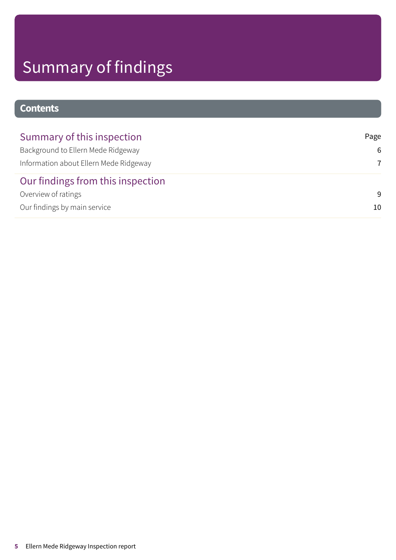# Summary of findings

### **Contents**

| Summary of this inspection             | Page |
|----------------------------------------|------|
| Background to Ellern Mede Ridgeway     | 6    |
| Information about Ellern Mede Ridgeway | 7    |
| Our findings from this inspection      |      |
| Overview of ratings                    | -9   |
| Our findings by main service           | 10   |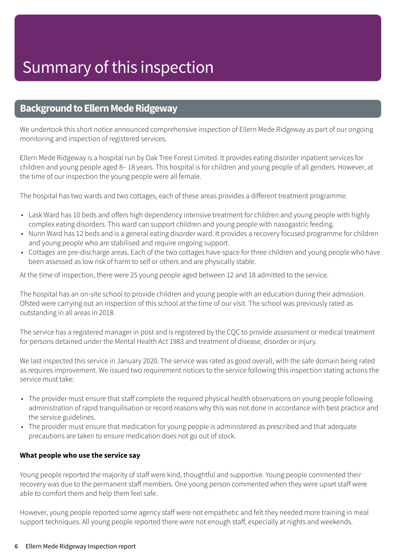### <span id="page-5-0"></span>**Background to Ellern Mede Ridgeway**

We undertook this short notice announced comprehensive inspection of Ellern Mede Ridgeway as part of our ongoing monitoring and inspection of registered services.

Ellern Mede Ridgeway is a hospital run by Oak Tree Forest Limited. It provides eating disorder inpatient services for children and young people aged 8– 18 years. This hospital is for children and young people of all genders. However, at the time of our inspection the young people were all female.

The hospital has two wards and two cottages, each of these areas provides a different treatment programme.

- Lask Ward has 10 beds and offers high dependency intensive treatment for children and young people with highly complex eating disorders. This ward can support children and young people with nasogastric feeding.
- Nunn Ward has 12 beds and is a general eating disorder ward. It provides a recovery focused programme for children and young people who are stabilised and require ongoing support.
- Cottages are pre-discharge areas. Each of the two cottages have space for three children and young people who have been assessed as low risk of harm to self or others and are physically stable.

At the time of inspection, there were 25 young people aged between 12 and 18 admitted to the service.

The hospital has an on-site school to provide children and young people with an education during their admission. Ofsted were carrying out an inspection of this school at the time of our visit. The school was previously rated as outstanding in all areas in 2018.

The service has a registered manager in post and is registered by the CQC to provide assessment or medical treatment for persons detained under the Mental Health Act 1983 and treatment of disease, disorder or injury.

We last inspected this service in January 2020. The service was rated as good overall, with the safe domain being rated as requires improvement. We issued two requirement notices to the service following this inspection stating actions the service must take:

- The provider must ensure that staff complete the required physical health observations on young people following administration of rapid tranquilisation or record reasons why this was not done in accordance with best practice and the service guidelines.
- The provider must ensure that medication for young people is administered as prescribed and that adequate precautions are taken to ensure medication does not go out of stock.

#### **What people who use the service say**

Young people reported the majority of staff were kind, thoughtful and supportive. Young people commented their recovery was due to the permanent staff members. One young person commented when they were upset staff were able to comfort them and help them feel safe.

However, young people reported some agency staff were not empathetic and felt they needed more training in meal support techniques. All young people reported there were not enough staff, especially at nights and weekends.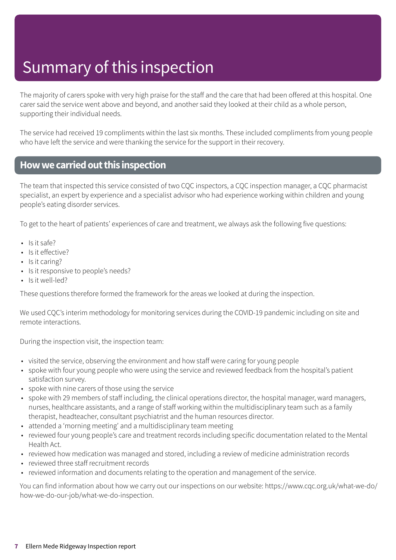# Summary of this inspection

The majority of carers spoke with very high praise for the staff and the care that had been offered at this hospital. One carer said the service went above and beyond, and another said they looked at their child as a whole person, supporting their individual needs.

The service had received 19 compliments within the last six months. These included compliments from young people who have left the service and were thanking the service for the support in their recovery.

### <span id="page-6-0"></span>**Howwecarriedoutthis inspection**

The team that inspected this service consisted of two CQC inspectors, a CQC inspection manager, a CQC pharmacist specialist, an expert by experience and a specialist advisor who had experience working within children and young people's eating disorder services.

To get to the heart of patients' experiences of care and treatment, we always ask the following five questions:

- Is it safe?
- Is it effective?
- Is it caring?
- Is it responsive to people's needs?
- Is it well-led?

These questions therefore formed the framework for the areas we looked at during the inspection.

We used CQC's interim methodology for monitoring services during the COVID-19 pandemic including on site and remote interactions.

During the inspection visit, the inspection team:

- visited the service, observing the environment and how staff were caring for young people
- spoke with four young people who were using the service and reviewed feedback from the hospital's patient satisfaction survey.
- spoke with nine carers of those using the service
- spoke with 29 members of staff including, the clinical operations director, the hospital manager, ward managers, nurses, healthcare assistants, and a range of staff working within the multidisciplinary team such as a family therapist, headteacher, consultant psychiatrist and the human resources director.
- attended a 'morning meeting' and a multidisciplinary team meeting
- reviewed four young people's care and treatment records including specific documentation related to the Mental Health Act.
- reviewed how medication was managed and stored, including a review of medicine administration records
- reviewed three staff recruitment records
- reviewed information and documents relating to the operation and management of the service.

You can find information about how we carry out our inspections on our website: https://www.cqc.org.uk/what-we-do/ how-we-do-our-job/what-we-do-inspection.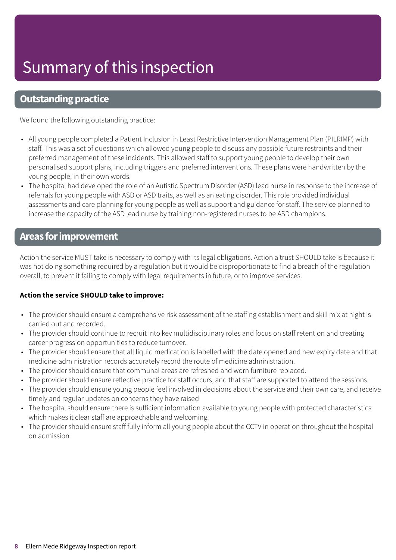# Summary of this inspection

### **Outstanding practice**

We found the following outstanding practice:

- All young people completed a Patient Inclusion in Least Restrictive Intervention Management Plan (PILRIMP) with staff. This was a set of questions which allowed young people to discuss any possible future restraints and their preferred management of these incidents. This allowed staff to support young people to develop their own personalised support plans, including triggers and preferred interventions. These plans were handwritten by the young people, in their own words.
- The hospital had developed the role of an Autistic Spectrum Disorder (ASD) lead nurse in response to the increase of referrals for young people with ASD or ASD traits, as well as an eating disorder. This role provided individual assessments and care planning for young people as well as support and guidance for staff. The service planned to increase the capacity of the ASD lead nurse by training non-registered nurses to be ASD champions.

### **Areas forimprovement**

Action the service MUST take is necessary to comply with its legal obligations. Action a trust SHOULD take is because it was not doing something required by a regulation but it would be disproportionate to find a breach of the regulation overall, to prevent it failing to comply with legal requirements in future, or to improve services.

#### **Action the service SHOULD take to improve:**

- The provider should ensure a comprehensive risk assessment of the staffing establishment and skill mix at night is carried out and recorded.
- The provider should continue to recruit into key multidisciplinary roles and focus on staff retention and creating career progression opportunities to reduce turnover.
- The provider should ensure that all liquid medication is labelled with the date opened and new expiry date and that medicine administration records accurately record the route of medicine administration.
- The provider should ensure that communal areas are refreshed and worn furniture replaced.
- The provider should ensure reflective practice for staff occurs, and that staff are supported to attend the sessions.
- The provider should ensure young people feel involved in decisions about the service and their own care, and receive timely and regular updates on concerns they have raised
- The hospital should ensure there is sufficient information available to young people with protected characteristics which makes it clear staff are approachable and welcoming.
- The provider should ensure staff fully inform all young people about the CCTV in operation throughout the hospital on admission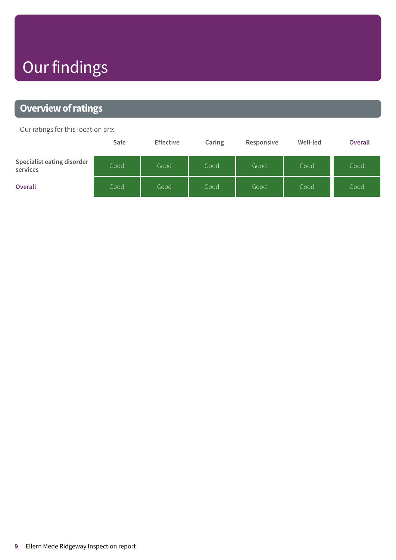# Our findings

### <span id="page-8-0"></span>**Overview of ratings**

Our ratings for this location are:

|                                        | Safe | <b>Effective</b> | Caring | Responsive | Well-led | <b>Overall</b> |
|----------------------------------------|------|------------------|--------|------------|----------|----------------|
| Specialist eating disorder<br>services | Good | Good             | Good   | Good       | Good     | Good           |
| <b>Overall</b>                         | Good | Good             | Good   | Good       | Good     | Good           |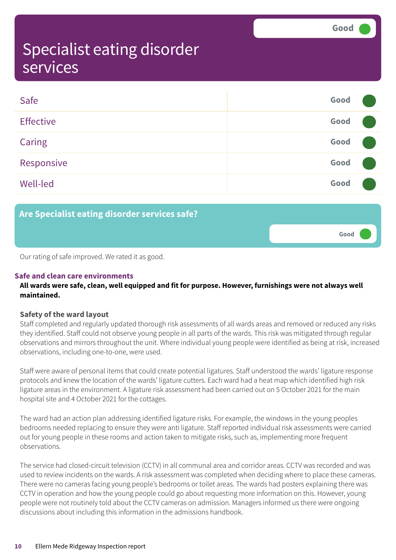**Good –––**

### <span id="page-9-0"></span>Specialist eating disorder services

| Safe             | Good |  |
|------------------|------|--|
| <b>Effective</b> | Good |  |
| <b>Caring</b>    | Good |  |
| Responsive       | Good |  |
| <b>Well-led</b>  | Good |  |

**Are Specialist eating disorder services safe?**

Our rating of safe improved. We rated it as good.

#### **Safe and clean care environments**

#### **All wards were safe, clean, well equipped and fit for purpose. However, furnishings were not always well maintained.**

#### **Safety of the ward layout**

Staff completed and regularly updated thorough risk assessments of all wards areas and removed or reduced any risks they identified. Staff could not observe young people in all parts of the wards. This risk was mitigated through regular observations and mirrors throughout the unit. Where individual young people were identified as being at risk, increased observations, including one-to-one, were used.

Staff were aware of personal items that could create potential ligatures. Staff understood the wards' ligature response protocols and knew the location of the wards' ligature cutters. Each ward had a heat map which identified high risk ligature areas in the environment. A ligature risk assessment had been carried out on 5 October 2021 for the main hospital site and 4 October 2021 for the cottages.

The ward had an action plan addressing identified ligature risks. For example, the windows in the young peoples bedrooms needed replacing to ensure they were anti ligature. Staff reported individual risk assessments were carried out for young people in these rooms and action taken to mitigate risks, such as, implementing more frequent observations.

The service had closed-circuit television (CCTV) in all communal area and corridor areas. CCTV was recorded and was used to review incidents on the wards. A risk assessment was completed when deciding where to place these cameras. There were no cameras facing young people's bedrooms or toilet areas. The wards had posters explaining there was CCTV in operation and how the young people could go about requesting more information on this. However, young people were not routinely told about the CCTV cameras on admission. Managers informed us there were ongoing discussions about including this information in the admissions handbook.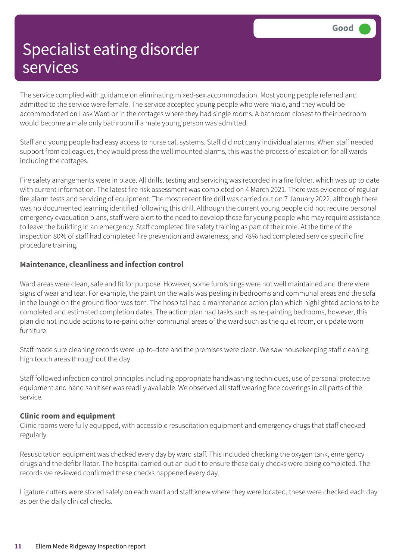The service complied with guidance on eliminating mixed-sex accommodation. Most young people referred and admitted to the service were female. The service accepted young people who were male, and they would be accommodated on Lask Ward or in the cottages where they had single rooms. A bathroom closest to their bedroom would become a male only bathroom if a male young person was admitted.

Staff and young people had easy access to nurse call systems. Staff did not carry individual alarms. When staff needed support from colleagues, they would press the wall mounted alarms, this was the process of escalation for all wards including the cottages.

Fire safety arrangements were in place. All drills, testing and servicing was recorded in a fire folder, which was up to date with current information. The latest fire risk assessment was completed on 4 March 2021. There was evidence of regular fire alarm tests and servicing of equipment. The most recent fire drill was carried out on 7 January 2022, although there was no documented learning identified following this drill. Although the current young people did not require personal emergency evacuation plans, staff were alert to the need to develop these for young people who may require assistance to leave the building in an emergency. Staff completed fire safety training as part of their role. At the time of the inspection 80% of staff had completed fire prevention and awareness, and 78% had completed service specific fire procedure training.

#### **Maintenance, cleanliness and infection control**

Ward areas were clean, safe and fit for purpose. However, some furnishings were not well maintained and there were signs of wear and tear. For example, the paint on the walls was peeling in bedrooms and communal areas and the sofa in the lounge on the ground floor was torn. The hospital had a maintenance action plan which highlighted actions to be completed and estimated completion dates. The action plan had tasks such as re-painting bedrooms, however, this plan did not include actions to re-paint other communal areas of the ward such as the quiet room, or update worn furniture.

Staff made sure cleaning records were up-to-date and the premises were clean. We saw housekeeping staff cleaning high touch areas throughout the day.

Staff followed infection control principles including appropriate handwashing techniques, use of personal protective equipment and hand sanitiser was readily available. We observed all staff wearing face coverings in all parts of the service.

#### **Clinic room and equipment**

Clinic rooms were fully equipped, with accessible resuscitation equipment and emergency drugs that staff checked regularly.

Resuscitation equipment was checked every day by ward staff. This included checking the oxygen tank, emergency drugs and the defibrillator. The hospital carried out an audit to ensure these daily checks were being completed. The records we reviewed confirmed these checks happened every day.

Ligature cutters were stored safely on each ward and staff knew where they were located, these were checked each day as per the daily clinical checks.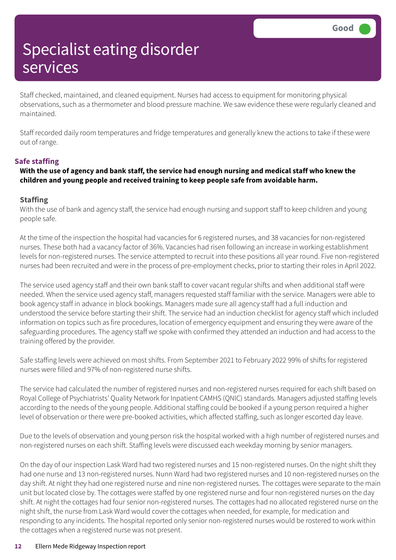Staff checked, maintained, and cleaned equipment. Nurses had access to equipment for monitoring physical observations, such as a thermometer and blood pressure machine. We saw evidence these were regularly cleaned and maintained.

Staff recorded daily room temperatures and fridge temperatures and generally knew the actions to take if these were out of range.

#### **Safe staffing**

#### With the use of agency and bank staff, the service had enough nursing and medical staff who knew the **children and young people and received training to keep people safe from avoidable harm.**

#### **Staffing**

With the use of bank and agency staff, the service had enough nursing and support staff to keep children and young people safe.

At the time of the inspection the hospital had vacancies for 6 registered nurses, and 38 vacancies for non-registered nurses. These both had a vacancy factor of 36%. Vacancies had risen following an increase in working establishment levels for non-registered nurses. The service attempted to recruit into these positions all year round. Five non-registered nurses had been recruited and were in the process of pre-employment checks, prior to starting their roles in April 2022.

The service used agency staff and their own bank staff to cover vacant regular shifts and when additional staff were needed. When the service used agency staff, managers requested staff familiar with the service. Managers were able to book agency staff in advance in block bookings. Managers made sure all agency staff had a full induction and understood the service before starting their shift. The service had an induction checklist for agency staff which included information on topics such as fire procedures, location of emergency equipment and ensuring they were aware of the safeguarding procedures. The agency staff we spoke with confirmed they attended an induction and had access to the training offered by the provider.

Safe staffing levels were achieved on most shifts. From September 2021 to February 2022 99% of shifts for registered nurses were filled and 97% of non-registered nurse shifts.

The service had calculated the number of registered nurses and non-registered nurses required for each shift based on Royal College of Psychiatrists' Quality Network for Inpatient CAMHS (QNIC) standards. Managers adjusted staffing levels according to the needs of the young people. Additional staffing could be booked if a young person required a higher level of observation or there were pre-booked activities, which affected staffing, such as longer escorted day leave.

Due to the levels of observation and young person risk the hospital worked with a high number of registered nurses and non-registered nurses on each shift. Staffing levels were discussed each weekday morning by senior managers.

On the day of our inspection Lask Ward had two registered nurses and 15 non-registered nurses. On the night shift they had one nurse and 13 non-registered nurses. Nunn Ward had two registered nurses and 10 non-registered nurses on the day shift. At night they had one registered nurse and nine non-registered nurses. The cottages were separate to the main unit but located close by. The cottages were staffed by one registered nurse and four non-registered nurses on the day shift. At night the cottages had four senior non-registered nurses. The cottages had no allocated registered nurse on the night shift, the nurse from Lask Ward would cover the cottages when needed, for example, for medication and responding to any incidents. The hospital reported only senior non-registered nurses would be rostered to work within the cottages when a registered nurse was not present.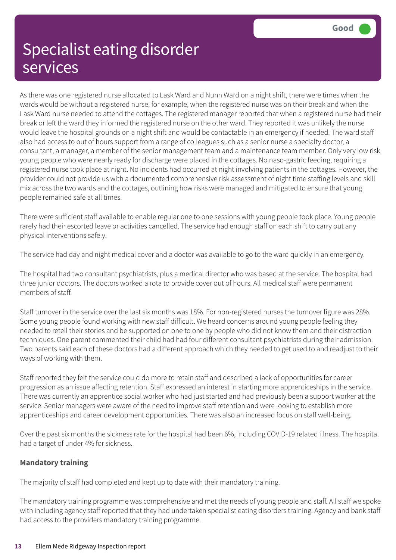As there was one registered nurse allocated to Lask Ward and Nunn Ward on a night shift, there were times when the wards would be without a registered nurse, for example, when the registered nurse was on their break and when the Lask Ward nurse needed to attend the cottages. The registered manager reported that when a registered nurse had their break or left the ward they informed the registered nurse on the other ward. They reported it was unlikely the nurse would leave the hospital grounds on a night shift and would be contactable in an emergency if needed. The ward staff also had access to out of hours support from a range of colleagues such as a senior nurse a specialty doctor, a consultant, a manager, a member of the senior management team and a maintenance team member. Only very low risk young people who were nearly ready for discharge were placed in the cottages. No naso-gastric feeding, requiring a registered nurse took place at night. No incidents had occurred at night involving patients in the cottages. However, the provider could not provide us with a documented comprehensive risk assessment of night time staffing levels and skill mix across the two wards and the cottages, outlining how risks were managed and mitigated to ensure that young people remained safe at all times.

There were sufficient staff available to enable regular one to one sessions with young people took place. Young people rarely had their escorted leave or activities cancelled. The service had enough staff on each shift to carry out any physical interventions safely.

The service had day and night medical cover and a doctor was available to go to the ward quickly in an emergency.

The hospital had two consultant psychiatrists, plus a medical director who was based at the service. The hospital had three junior doctors. The doctors worked a rota to provide cover out of hours. All medical staff were permanent members of staff.

Staff turnover in the service over the last six months was 18%. For non-registered nurses the turnover figure was 28%. Some young people found working with new staff difficult. We heard concerns around young people feeling they needed to retell their stories and be supported on one to one by people who did not know them and their distraction techniques. One parent commented their child had had four different consultant psychiatrists during their admission. Two parents said each of these doctors had a different approach which they needed to get used to and readjust to their ways of working with them.

Staff reported they felt the service could do more to retain staff and described a lack of opportunities for career progression as an issue affecting retention. Staff expressed an interest in starting more apprenticeships in the service. There was currently an apprentice social worker who had just started and had previously been a support worker at the service. Senior managers were aware of the need to improve staff retention and were looking to establish more apprenticeships and career development opportunities. There was also an increased focus on staff well-being.

Over the past six months the sickness rate for the hospital had been 6%, including COVID-19 related illness. The hospital had a target of under 4% for sickness.

#### **Mandatory training**

The majority of staff had completed and kept up to date with their mandatory training.

The mandatory training programme was comprehensive and met the needs of young people and staff. All staff we spoke with including agency staff reported that they had undertaken specialist eating disorders training. Agency and bank staff had access to the providers mandatory training programme.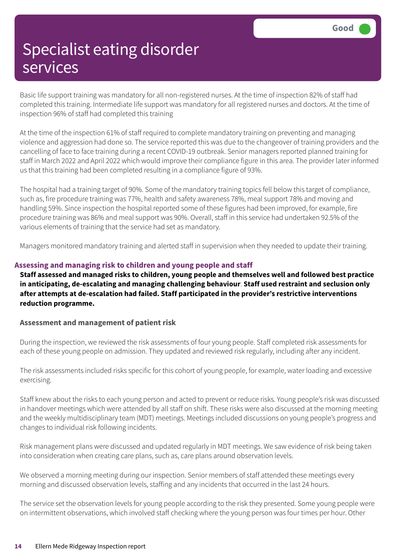Basic life support training was mandatory for all non-registered nurses. At the time of inspection 82% of staff had completed this training. Intermediate life support was mandatory for all registered nurses and doctors. At the time of inspection 96% of staff had completed this training

At the time of the inspection 61% of staff required to complete mandatory training on preventing and managing violence and aggression had done so. The service reported this was due to the changeover of training providers and the cancelling of face to face training during a recent COVID-19 outbreak. Senior managers reported planned training for staff in March 2022 and April 2022 which would improve their compliance figure in this area. The provider later informed us that this training had been completed resulting in a compliance figure of 93%.

The hospital had a training target of 90%. Some of the mandatory training topics fell below this target of compliance, such as, fire procedure training was 77%, health and safety awareness 78%, meal support 78% and moving and handling 59%. Since inspection the hospital reported some of these figures had been improved, for example, fire procedure training was 86% and meal support was 90%. Overall, staff in this service had undertaken 92.5% of the various elements of training that the service had set as mandatory.

Managers monitored mandatory training and alerted staff in supervision when they needed to update their training.

#### **Assessing and managing risk to children and young people and staff**

**Staff assessed and managed risks to children, young people and themselves well and followed best practice in anticipating, de-escalating and managing challenging behaviour**. **Staff used restraint and seclusion only after attempts at de-escalation had failed. Staff participated in the provider's restrictive interventions reduction programme.**

#### **Assessment and management of patient risk**

During the inspection, we reviewed the risk assessments of four young people. Staff completed risk assessments for each of these young people on admission. They updated and reviewed risk regularly, including after any incident.

The risk assessments included risks specific for this cohort of young people, for example, water loading and excessive exercising.

Staff knew about the risks to each young person and acted to prevent or reduce risks. Young people's risk was discussed in handover meetings which were attended by all staff on shift. These risks were also discussed at the morning meeting and the weekly multidisciplinary team (MDT) meetings. Meetings included discussions on young people's progress and changes to individual risk following incidents.

Risk management plans were discussed and updated regularly in MDT meetings. We saw evidence of risk being taken into consideration when creating care plans, such as, care plans around observation levels.

We observed a morning meeting during our inspection. Senior members of staff attended these meetings every morning and discussed observation levels, staffing and any incidents that occurred in the last 24 hours.

The service set the observation levels for young people according to the risk they presented. Some young people were on intermittent observations, which involved staff checking where the young person was four times per hour. Other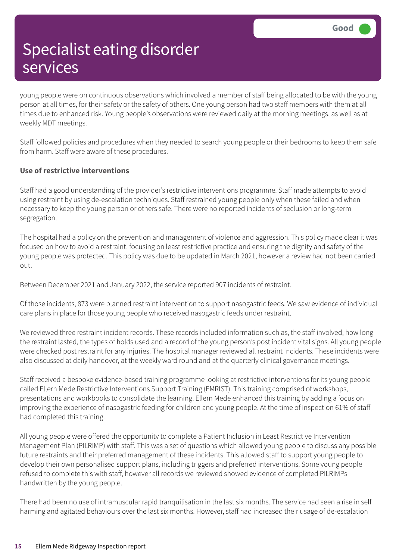young people were on continuous observations which involved a member of staff being allocated to be with the young person at all times, for their safety or the safety of others. One young person had two staff members with them at all times due to enhanced risk. Young people's observations were reviewed daily at the morning meetings, as well as at weekly MDT meetings.

Staff followed policies and procedures when they needed to search young people or their bedrooms to keep them safe from harm. Staff were aware of these procedures.

#### **Use of restrictive interventions**

Staff had a good understanding of the provider's restrictive interventions programme. Staff made attempts to avoid using restraint by using de-escalation techniques. Staff restrained young people only when these failed and when necessary to keep the young person or others safe. There were no reported incidents of seclusion or long-term segregation.

The hospital had a policy on the prevention and management of violence and aggression. This policy made clear it was focused on how to avoid a restraint, focusing on least restrictive practice and ensuring the dignity and safety of the young people was protected. This policy was due to be updated in March 2021, however a review had not been carried out.

Between December 2021 and January 2022, the service reported 907 incidents of restraint.

Of those incidents, 873 were planned restraint intervention to support nasogastric feeds. We saw evidence of individual care plans in place for those young people who received nasogastric feeds under restraint.

We reviewed three restraint incident records. These records included information such as, the staff involved, how long the restraint lasted, the types of holds used and a record of the young person's post incident vital signs. All young people were checked post restraint for any injuries. The hospital manager reviewed all restraint incidents. These incidents were also discussed at daily handover, at the weekly ward round and at the quarterly clinical governance meetings.

Staff received a bespoke evidence-based training programme looking at restrictive interventions for its young people called Ellern Mede Restrictive Interventions Support Training (EMRIST). This training comprised of workshops, presentations and workbooks to consolidate the learning. Ellern Mede enhanced this training by adding a focus on improving the experience of nasogastric feeding for children and young people. At the time of inspection 61% of staff had completed this training.

All young people were offered the opportunity to complete a Patient Inclusion in Least Restrictive Intervention Management Plan (PILRIMP) with staff. This was a set of questions which allowed young people to discuss any possible future restraints and their preferred management of these incidents. This allowed staff to support young people to develop their own personalised support plans, including triggers and preferred interventions. Some young people refused to complete this with staff, however all records we reviewed showed evidence of completed PILRIMPs handwritten by the young people.

There had been no use of intramuscular rapid tranquilisation in the last six months. The service had seen a rise in self harming and agitated behaviours over the last six months. However, staff had increased their usage of de-escalation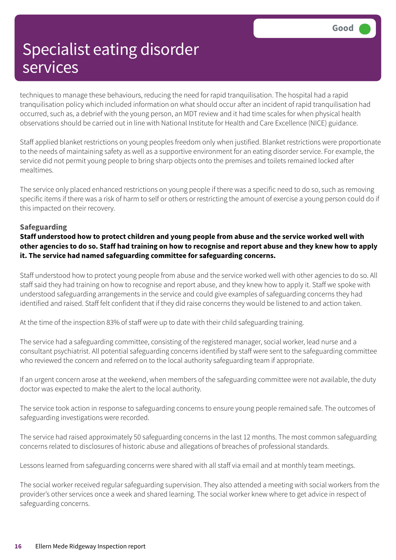techniques to manage these behaviours, reducing the need for rapid tranquilisation. The hospital had a rapid tranquilisation policy which included information on what should occur after an incident of rapid tranquilisation had occurred, such as, a debrief with the young person, an MDT review and it had time scales for when physical health observations should be carried out in line with National Institute for Health and Care Excellence (NICE) guidance.

Staff applied blanket restrictions on young peoples freedom only when justified. Blanket restrictions were proportionate to the needs of maintaining safety as well as a supportive environment for an eating disorder service. For example, the service did not permit young people to bring sharp objects onto the premises and toilets remained locked after mealtimes.

The service only placed enhanced restrictions on young people if there was a specific need to do so, such as removing specific items if there was a risk of harm to self or others or restricting the amount of exercise a young person could do if this impacted on their recovery.

#### **Safeguarding**

**Staff understood how to protect children and young people from abuse and the service worked well with** other agencies to do so. Staff had training on how to recognise and report abuse and they knew how to apply **it. The service had named safeguarding committee for safeguarding concerns.**

Staff understood how to protect young people from abuse and the service worked well with other agencies to do so. All staff said they had training on how to recognise and report abuse, and they knew how to apply it. Staff we spoke with understood safeguarding arrangements in the service and could give examples of safeguarding concerns they had identified and raised. Staff felt confident that if they did raise concerns they would be listened to and action taken.

At the time of the inspection 83% of staff were up to date with their child safeguarding training.

The service had a safeguarding committee, consisting of the registered manager, social worker, lead nurse and a consultant psychiatrist. All potential safeguarding concerns identified by staff were sent to the safeguarding committee who reviewed the concern and referred on to the local authority safeguarding team if appropriate.

If an urgent concern arose at the weekend, when members of the safeguarding committee were not available, the duty doctor was expected to make the alert to the local authority.

The service took action in response to safeguarding concerns to ensure young people remained safe. The outcomes of safeguarding investigations were recorded.

The service had raised approximately 50 safeguarding concerns in the last 12 months. The most common safeguarding concerns related to disclosures of historic abuse and allegations of breaches of professional standards.

Lessons learned from safeguarding concerns were shared with all staff via email and at monthly team meetings.

The social worker received regular safeguarding supervision. They also attended a meeting with social workers from the provider's other services once a week and shared learning. The social worker knew where to get advice in respect of safeguarding concerns.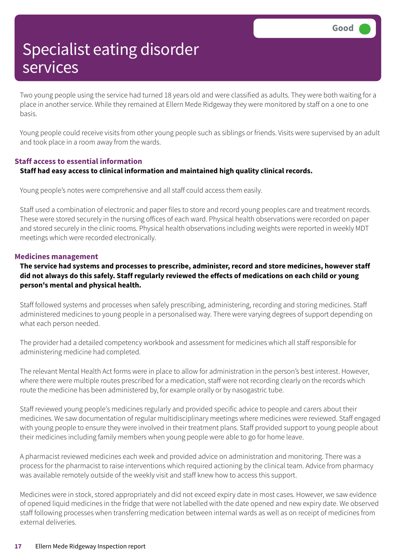Two young people using the service had turned 18 years old and were classified as adults. They were both waiting for a place in another service. While they remained at Ellern Mede Ridgeway they were monitored by staff on a one to one basis.

Young people could receive visits from other young people such as siblings or friends. Visits were supervised by an adult and took place in a room away from the wards.

#### **Staff access to essential information Staff had easy access to clinical information and maintained high quality clinical records.**

Young people's notes were comprehensive and all staff could access them easily.

Staff used a combination of electronic and paper files to store and record young peoples care and treatment records. These were stored securely in the nursing offices of each ward. Physical health observations were recorded on paper and stored securely in the clinic rooms. Physical health observations including weights were reported in weekly MDT meetings which were recorded electronically.

#### **Medicines management**

**The service had systems and processes to prescribe, administer, record and store medicines, however staff** did not always do this safely. Staff regularly reviewed the effects of medications on each child or young **person's mental and physical health.**

Staff followed systems and processes when safely prescribing, administering, recording and storing medicines. Staff administered medicines to young people in a personalised way. There were varying degrees of support depending on what each person needed.

The provider had a detailed competency workbook and assessment for medicines which all staff responsible for administering medicine had completed.

The relevant Mental Health Act forms were in place to allow for administration in the person's best interest. However, where there were multiple routes prescribed for a medication, staff were not recording clearly on the records which route the medicine has been administered by, for example orally or by nasogastric tube.

Staff reviewed young people's medicines regularly and provided specific advice to people and carers about their medicines. We saw documentation of regular multidisciplinary meetings where medicines were reviewed. Staff engaged with young people to ensure they were involved in their treatment plans. Staff provided support to young people about their medicines including family members when young people were able to go for home leave.

A pharmacist reviewed medicines each week and provided advice on administration and monitoring. There was a process for the pharmacist to raise interventions which required actioning by the clinical team. Advice from pharmacy was available remotely outside of the weekly visit and staff knew how to access this support.

Medicines were in stock, stored appropriately and did not exceed expiry date in most cases. However, we saw evidence of opened liquid medicines in the fridge that were not labelled with the date opened and new expiry date. We observed staff following processes when transferring medication between internal wards as well as on receipt of medicines from external deliveries.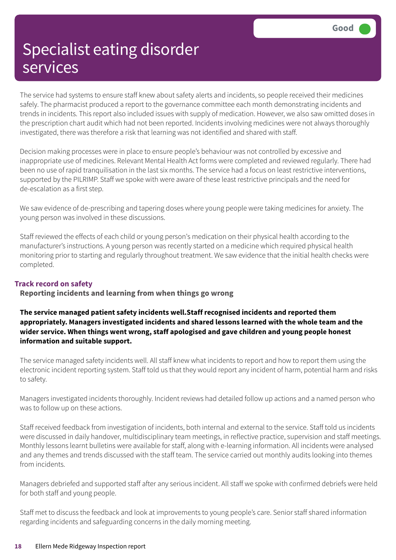The service had systems to ensure staff knew about safety alerts and incidents, so people received their medicines safely. The pharmacist produced a report to the governance committee each month demonstrating incidents and trends in incidents. This report also included issues with supply of medication. However, we also saw omitted doses in the prescription chart audit which had not been reported. Incidents involving medicines were not always thoroughly investigated, there was therefore a risk that learning was not identified and shared with staff.

Decision making processes were in place to ensure people's behaviour was not controlled by excessive and inappropriate use of medicines. Relevant Mental Health Act forms were completed and reviewed regularly. There had been no use of rapid tranquilisation in the last six months. The service had a focus on least restrictive interventions, supported by the PILRIMP. Staff we spoke with were aware of these least restrictive principals and the need for de-escalation as a first step.

We saw evidence of de-prescribing and tapering doses where young people were taking medicines for anxiety. The young person was involved in these discussions.

Staff reviewed the effects of each child or young person's medication on their physical health according to the manufacturer's instructions. A young person was recently started on a medicine which required physical health monitoring prior to starting and regularly throughout treatment. We saw evidence that the initial health checks were completed.

#### **Track record on safety**

**Reporting incidents and learning from when things go wrong**

**The service managed patient safety incidents well.Staff recognised incidents and reported them appropriately. Managers investigated incidents and shared lessons learned with the whole team and the wider service. When things went wrong, staff apologised and gave children and young people honest information and suitable support.**

The service managed safety incidents well. All staff knew what incidents to report and how to report them using the electronic incident reporting system. Staff told us that they would report any incident of harm, potential harm and risks to safety.

Managers investigated incidents thoroughly. Incident reviews had detailed follow up actions and a named person who was to follow up on these actions.

Staff received feedback from investigation of incidents, both internal and external to the service. Staff told us incidents were discussed in daily handover, multidisciplinary team meetings, in reflective practice, supervision and staff meetings. Monthly lessons learnt bulletins were available for staff, along with e-learning information. All incidents were analysed and any themes and trends discussed with the staff team. The service carried out monthly audits looking into themes from incidents.

Managers debriefed and supported staff after any serious incident. All staff we spoke with confirmed debriefs were held for both staff and young people.

Staff met to discuss the feedback and look at improvements to young people's care. Senior staff shared information regarding incidents and safeguarding concerns in the daily morning meeting.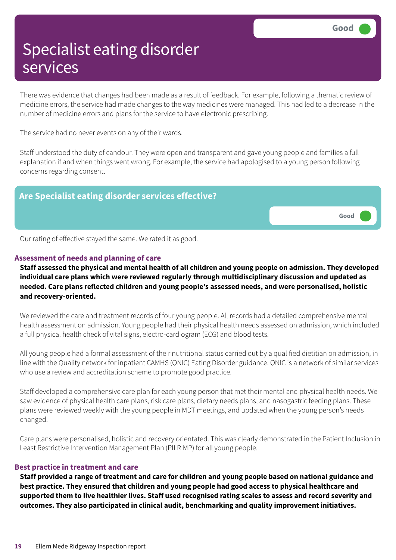There was evidence that changes had been made as a result of feedback. For example, following a thematic review of medicine errors, the service had made changes to the way medicines were managed. This had led to a decrease in the number of medicine errors and plans for the service to have electronic prescribing.

The service had no never events on any of their wards.

Staff understood the duty of candour. They were open and transparent and gave young people and families a full explanation if and when things went wrong. For example, the service had apologised to a young person following concerns regarding consent.



Our rating of effective stayed the same. We rated it as good.

#### **Assessment of needs and planning of care**

Staff assessed the physical and mental health of all children and young people on admission. They developed **individual care plans which were reviewed regularly through multidisciplinary discussion and updated as needed. Care plans reflected children and young people's assessed needs, and were personalised, holistic and recovery-oriented.**

We reviewed the care and treatment records of four young people. All records had a detailed comprehensive mental health assessment on admission. Young people had their physical health needs assessed on admission, which included a full physical health check of vital signs, electro-cardiogram (ECG) and blood tests.

All young people had a formal assessment of their nutritional status carried out by a qualified dietitian on admission, in line with the Quality network for inpatient CAMHS (QNIC) Eating Disorder guidance. QNIC is a network of similar services who use a review and accreditation scheme to promote good practice.

Staff developed a comprehensive care plan for each young person that met their mental and physical health needs. We saw evidence of physical health care plans, risk care plans, dietary needs plans, and nasogastric feeding plans. These plans were reviewed weekly with the young people in MDT meetings, and updated when the young person's needs changed.

Care plans were personalised, holistic and recovery orientated. This was clearly demonstrated in the Patient Inclusion in Least Restrictive Intervention Management Plan (PILRIMP) for all young people.

#### **Best practice in treatment and care**

Staff provided a range of treatment and care for children and young people based on national guidance and **best practice. They ensured that children and young people had good access to physical healthcare and** supported them to live healthier lives. Staff used recognised rating scales to assess and record severity and **outcomes. They also participated in clinical audit, benchmarking and quality improvement initiatives.**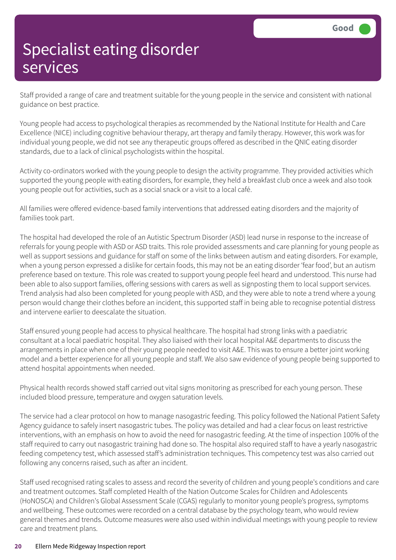Staff provided a range of care and treatment suitable for the young people in the service and consistent with national guidance on best practice.

Young people had access to psychological therapies as recommended by the National Institute for Health and Care Excellence (NICE) including cognitive behaviour therapy, art therapy and family therapy. However, this work was for individual young people, we did not see any therapeutic groups offered as described in the QNIC eating disorder standards, due to a lack of clinical psychologists within the hospital.

Activity co-ordinators worked with the young people to design the activity programme. They provided activities which supported the young people with eating disorders, for example, they held a breakfast club once a week and also took young people out for activities, such as a social snack or a visit to a local café.

All families were offered evidence-based family interventions that addressed eating disorders and the majority of families took part.

The hospital had developed the role of an Autistic Spectrum Disorder (ASD) lead nurse in response to the increase of referrals for young people with ASD or ASD traits. This role provided assessments and care planning for young people as well as support sessions and guidance for staff on some of the links between autism and eating disorders. For example, when a young person expressed a dislike for certain foods, this may not be an eating disorder 'fear food', but an autism preference based on texture. This role was created to support young people feel heard and understood. This nurse had been able to also support families, offering sessions with carers as well as signposting them to local support services. Trend analysis had also been completed for young people with ASD, and they were able to note a trend where a young person would change their clothes before an incident, this supported staff in being able to recognise potential distress and intervene earlier to deescalate the situation.

Staff ensured young people had access to physical healthcare. The hospital had strong links with a paediatric consultant at a local paediatric hospital. They also liaised with their local hospital A&E departments to discuss the arrangements in place when one of their young people needed to visit A&E. This was to ensure a better joint working model and a better experience for all young people and staff. We also saw evidence of young people being supported to attend hospital appointments when needed.

Physical health records showed staff carried out vital signs monitoring as prescribed for each young person. These included blood pressure, temperature and oxygen saturation levels.

The service had a clear protocol on how to manage nasogastric feeding. This policy followed the National Patient Safety Agency guidance to safely insert nasogastric tubes. The policy was detailed and had a clear focus on least restrictive interventions, with an emphasis on how to avoid the need for nasogastric feeding. At the time of inspection 100% of the staff required to carry out nasogastric training had done so. The hospital also required staff to have a yearly nasogastric feeding competency test, which assessed staff's administration techniques. This competency test was also carried out following any concerns raised, such as after an incident.

Staff used recognised rating scales to assess and record the severity of children and young people's conditions and care and treatment outcomes. Staff completed Health of the Nation Outcome Scales for Children and Adolescents (HoNOSCA) and Children's Global Assessment Scale (CGAS) regularly to monitor young people's progress, symptoms and wellbeing. These outcomes were recorded on a central database by the psychology team, who would review general themes and trends. Outcome measures were also used within individual meetings with young people to review care and treatment plans.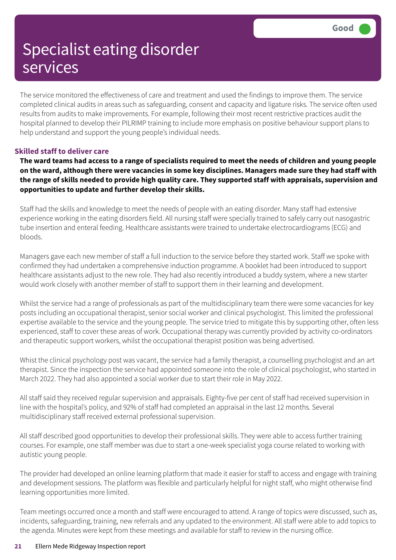The service monitored the effectiveness of care and treatment and used the findings to improve them. The service completed clinical audits in areas such as safeguarding, consent and capacity and ligature risks. The service often used results from audits to make improvements. For example, following their most recent restrictive practices audit the hospital planned to develop their PILRIMP training to include more emphasis on positive behaviour support plans to help understand and support the young people's individual needs.

#### **Skilled staff to deliver care**

The ward teams had access to a range of specialists required to meet the needs of children and young people on the ward, although there were vacancies in some key disciplines. Managers made sure they had staff with the range of skills needed to provide high quality care. They supported staff with appraisals, supervision and **opportunities to update and further develop their skills.**

Staff had the skills and knowledge to meet the needs of people with an eating disorder. Many staff had extensive experience working in the eating disorders field. All nursing staff were specially trained to safely carry out nasogastric tube insertion and enteral feeding. Healthcare assistants were trained to undertake electrocardiograms (ECG) and bloods.

Managers gave each new member of staff a full induction to the service before they started work. Staff we spoke with confirmed they had undertaken a comprehensive induction programme. A booklet had been introduced to support healthcare assistants adjust to the new role. They had also recently introduced a buddy system, where a new starter would work closely with another member of staff to support them in their learning and development.

Whilst the service had a range of professionals as part of the multidisciplinary team there were some vacancies for key posts including an occupational therapist, senior social worker and clinical psychologist. This limited the professional expertise available to the service and the young people. The service tried to mitigate this by supporting other, often less experienced, staff to cover these areas of work. Occupational therapy was currently provided by activity co-ordinators and therapeutic support workers, whilst the occupational therapist position was being advertised.

Whist the clinical psychology post was vacant, the service had a family therapist, a counselling psychologist and an art therapist. Since the inspection the service had appointed someone into the role of clinical psychologist, who started in March 2022. They had also appointed a social worker due to start their role in May 2022.

All staff said they received regular supervision and appraisals. Eighty-five per cent of staff had received supervision in line with the hospital's policy, and 92% of staff had completed an appraisal in the last 12 months. Several multidisciplinary staff received external professional supervision.

All staff described good opportunities to develop their professional skills. They were able to access further training courses. For example, one staff member was due to start a one-week specialist yoga course related to working with autistic young people.

The provider had developed an online learning platform that made it easier for staff to access and engage with training and development sessions. The platform was flexible and particularly helpful for night staff, who might otherwise find learning opportunities more limited.

Team meetings occurred once a month and staff were encouraged to attend. A range of topics were discussed, such as, incidents, safeguarding, training, new referrals and any updated to the environment. All staff were able to add topics to the agenda. Minutes were kept from these meetings and available for staff to review in the nursing office.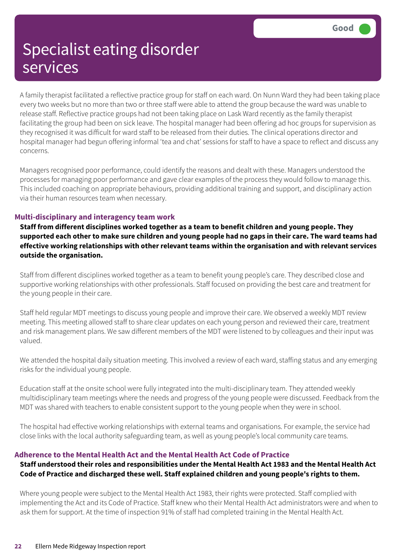A family therapist facilitated a reflective practice group for staff on each ward. On Nunn Ward they had been taking place every two weeks but no more than two or three staff were able to attend the group because the ward was unable to release staff. Reflective practice groups had not been taking place on Lask Ward recently as the family therapist facilitating the group had been on sick leave. The hospital manager had been offering ad hoc groups for supervision as they recognised it was difficult for ward staff to be released from their duties. The clinical operations director and hospital manager had begun offering informal 'tea and chat' sessions for staff to have a space to reflect and discuss any concerns.

Managers recognised poor performance, could identify the reasons and dealt with these. Managers understood the processes for managing poor performance and gave clear examples of the process they would follow to manage this. This included coaching on appropriate behaviours, providing additional training and support, and disciplinary action via their human resources team when necessary.

#### **Multi-disciplinary and interagency team work**

**Staff from different disciplines worked together as a team to benefit children and young people. They** supported each other to make sure children and young people had no gaps in their care. The ward teams had **effective working relationships with other relevant teams within the organisation and with relevant services outside the organisation.**

Staff from different disciplines worked together as a team to benefit young people's care. They described close and supportive working relationships with other professionals. Staff focused on providing the best care and treatment for the young people in their care.

Staff held regular MDT meetings to discuss young people and improve their care. We observed a weekly MDT review meeting. This meeting allowed staff to share clear updates on each young person and reviewed their care, treatment and risk management plans. We saw different members of the MDT were listened to by colleagues and their input was valued.

We attended the hospital daily situation meeting. This involved a review of each ward, staffing status and any emerging risks for the individual young people.

Education staff at the onsite school were fully integrated into the multi-disciplinary team. They attended weekly multidisciplinary team meetings where the needs and progress of the young people were discussed. Feedback from the MDT was shared with teachers to enable consistent support to the young people when they were in school.

The hospital had effective working relationships with external teams and organisations. For example, the service had close links with the local authority safeguarding team, as well as young people's local community care teams.

#### **Adherence to the Mental Health Act and the Mental Health Act Code of Practice**

#### Staff understood their roles and responsibilities under the Mental Health Act 1983 and the Mental Health Act **Code of Practice and discharged these well. Staff explained children and young people's rights to them.**

Where young people were subject to the Mental Health Act 1983, their rights were protected. Staff complied with implementing the Act and its Code of Practice. Staff knew who their Mental Health Act administrators were and when to ask them for support. At the time of inspection 91% of staff had completed training in the Mental Health Act.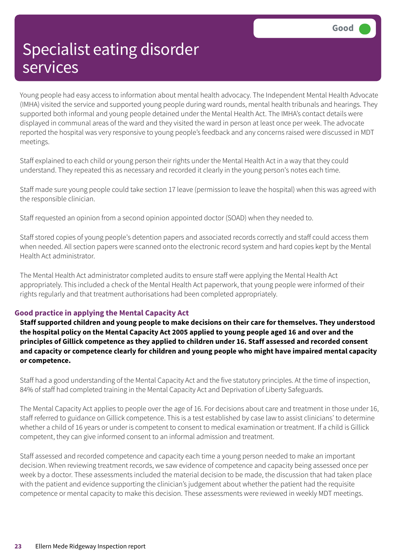Young people had easy access to information about mental health advocacy. The Independent Mental Health Advocate (IMHA) visited the service and supported young people during ward rounds, mental health tribunals and hearings. They supported both informal and young people detained under the Mental Health Act. The IMHA's contact details were displayed in communal areas of the ward and they visited the ward in person at least once per week. The advocate reported the hospital was very responsive to young people's feedback and any concerns raised were discussed in MDT meetings.

Staff explained to each child or young person their rights under the Mental Health Act in a way that they could understand. They repeated this as necessary and recorded it clearly in the young person's notes each time.

Staff made sure young people could take section 17 leave (permission to leave the hospital) when this was agreed with the responsible clinician.

Staff requested an opinion from a second opinion appointed doctor (SOAD) when they needed to.

Staff stored copies of young people's detention papers and associated records correctly and staff could access them when needed. All section papers were scanned onto the electronic record system and hard copies kept by the Mental Health Act administrator.

The Mental Health Act administrator completed audits to ensure staff were applying the Mental Health Act appropriately. This included a check of the Mental Health Act paperwork, that young people were informed of their rights regularly and that treatment authorisations had been completed appropriately.

#### **Good practice in applying the Mental Capacity Act**

**Staff supported children and young people to make decisions on their care for themselves. They understood** the hospital policy on the Mental Capacity Act 2005 applied to young people aged 16 and over and the **principles of Gillick competence as they applied to children under 16. Staff assessed and recorded consent and capacity or competence clearly for children and young people who might have impaired mental capacity or competence.**

Staff had a good understanding of the Mental Capacity Act and the five statutory principles. At the time of inspection, 84% of staff had completed training in the Mental Capacity Act and Deprivation of Liberty Safeguards.

The Mental Capacity Act applies to people over the age of 16. For decisions about care and treatment in those under 16, staff referred to guidance on Gillick competence. This is a test established by case law to assist clinicians' to determine whether a child of 16 years or under is competent to consent to medical examination or treatment. If a child is Gillick competent, they can give informed consent to an informal admission and treatment.

Staff assessed and recorded competence and capacity each time a young person needed to make an important decision. When reviewing treatment records, we saw evidence of competence and capacity being assessed once per week by a doctor. These assessments included the material decision to be made, the discussion that had taken place with the patient and evidence supporting the clinician's judgement about whether the patient had the requisite competence or mental capacity to make this decision. These assessments were reviewed in weekly MDT meetings.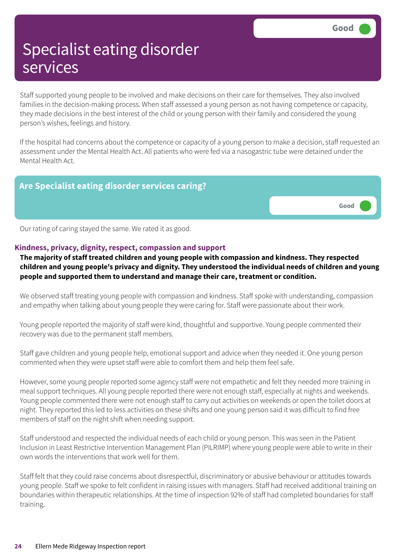Staff supported young people to be involved and make decisions on their care for themselves. They also involved families in the decision-making process. When staff assessed a young person as not having competence or capacity, they made decisions in the best interest of the child or young person with their family and considered the young person's wishes, feelings and history.

If the hospital had concerns about the competence or capacity of a young person to make a decision, staff requested an assessment under the Mental Health Act. All patients who were fed via a nasogastric tube were detained under the Mental Health Act.

#### **Are Specialist eating disorder services caring?**



Our rating of caring stayed the same. We rated it as good.

#### **Kindness, privacy, dignity, respect, compassion and support**

**The majority of staff treated children and young people with compassion and kindness. They respected children and young people's privacy and dignity. They understood the individual needs of children and young people and supported them to understand and manage their care, treatment or condition.**

We observed staff treating young people with compassion and kindness. Staff spoke with understanding, compassion and empathy when talking about young people they were caring for. Staff were passionate about their work.

Young people reported the majority of staff were kind, thoughtful and supportive. Young people commented their recovery was due to the permanent staff members.

Staff gave children and young people help, emotional support and advice when they needed it. One young person commented when they were upset staff were able to comfort them and help them feel safe.

However, some young people reported some agency staff were not empathetic and felt they needed more training in meal support techniques. All young people reported there were not enough staff, especially at nights and weekends. Young people commented there were not enough staff to carry out activities on weekends or open the toilet doors at night. They reported this led to less activities on these shifts and one young person said it was difficult to find free members of staff on the night shift when needing support.

Staff understood and respected the individual needs of each child or young person. This was seen in the Patient Inclusion in Least Restrictive Intervention Management Plan (PILRIMP) where young people were able to write in their own words the interventions that work well for them.

Staff felt that they could raise concerns about disrespectful, discriminatory or abusive behaviour or attitudes towards young people. Staff we spoke to felt confident in raising issues with managers. Staff had received additional training on boundaries within therapeutic relationships. At the time of inspection 92% of staff had completed boundaries for staff training.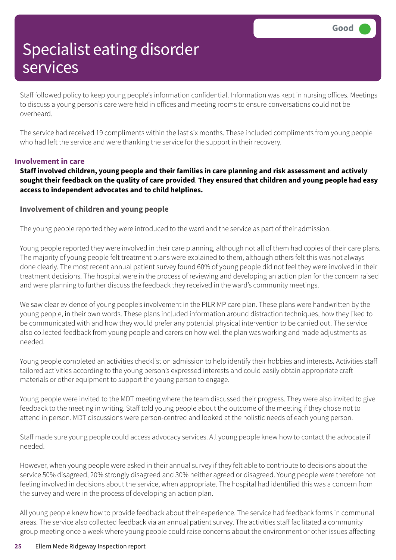Staff followed policy to keep young people's information confidential. Information was kept in nursing offices. Meetings to discuss a young person's care were held in offices and meeting rooms to ensure conversations could not be overheard.

The service had received 19 compliments within the last six months. These included compliments from young people who had left the service and were thanking the service for the support in their recovery.

#### **Involvement in care**

**Staff involved children, young people and their families in care planning and risk assessment and actively** sought their feedback on the quality of care provided. They ensured that children and young people had easy **access to independent advocates and to child helplines.**

#### **Involvement of children and young people**

The young people reported they were introduced to the ward and the service as part of their admission.

Young people reported they were involved in their care planning, although not all of them had copies of their care plans. The majority of young people felt treatment plans were explained to them, although others felt this was not always done clearly. The most recent annual patient survey found 60% of young people did not feel they were involved in their treatment decisions. The hospital were in the process of reviewing and developing an action plan for the concern raised and were planning to further discuss the feedback they received in the ward's community meetings.

We saw clear evidence of young people's involvement in the PILRIMP care plan. These plans were handwritten by the young people, in their own words. These plans included information around distraction techniques, how they liked to be communicated with and how they would prefer any potential physical intervention to be carried out. The service also collected feedback from young people and carers on how well the plan was working and made adjustments as needed.

Young people completed an activities checklist on admission to help identify their hobbies and interests. Activities staff tailored activities according to the young person's expressed interests and could easily obtain appropriate craft materials or other equipment to support the young person to engage.

Young people were invited to the MDT meeting where the team discussed their progress. They were also invited to give feedback to the meeting in writing. Staff told young people about the outcome of the meeting if they chose not to attend in person. MDT discussions were person-centred and looked at the holistic needs of each young person.

Staff made sure young people could access advocacy services. All young people knew how to contact the advocate if needed.

However, when young people were asked in their annual survey if they felt able to contribute to decisions about the service 50% disagreed, 20% strongly disagreed and 30% neither agreed or disagreed. Young people were therefore not feeling involved in decisions about the service, when appropriate. The hospital had identified this was a concern from the survey and were in the process of developing an action plan.

All young people knew how to provide feedback about their experience. The service had feedback forms in communal areas. The service also collected feedback via an annual patient survey. The activities staff facilitated a community group meeting once a week where young people could raise concerns about the environment or other issues affecting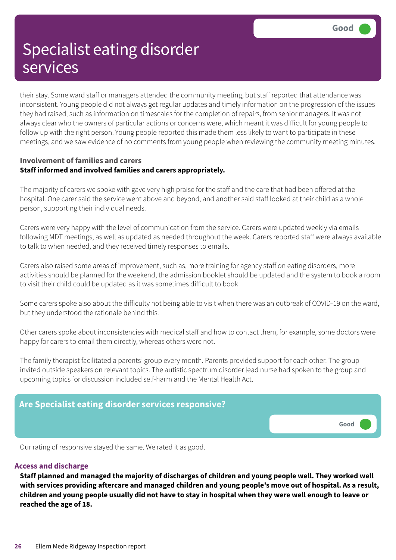their stay. Some ward staff or managers attended the community meeting, but staff reported that attendance was inconsistent. Young people did not always get regular updates and timely information on the progression of the issues they had raised, such as information on timescales for the completion of repairs, from senior managers. It was not always clear who the owners of particular actions or concerns were, which meant it was difficult for young people to follow up with the right person. Young people reported this made them less likely to want to participate in these meetings, and we saw evidence of no comments from young people when reviewing the community meeting minutes.

#### **Involvement of families and carers Staff informed and involved families and carers appropriately.**

The majority of carers we spoke with gave very high praise for the staff and the care that had been offered at the hospital. One carer said the service went above and beyond, and another said staff looked at their child as a whole person, supporting their individual needs.

Carers were very happy with the level of communication from the service. Carers were updated weekly via emails following MDT meetings, as well as updated as needed throughout the week. Carers reported staff were always available to talk to when needed, and they received timely responses to emails.

Carers also raised some areas of improvement, such as, more training for agency staff on eating disorders, more activities should be planned for the weekend, the admission booklet should be updated and the system to book a room to visit their child could be updated as it was sometimes difficult to book.

Some carers spoke also about the difficulty not being able to visit when there was an outbreak of COVID-19 on the ward, but they understood the rationale behind this.

Other carers spoke about inconsistencies with medical staff and how to contact them, for example, some doctors were happy for carers to email them directly, whereas others were not.

The family therapist facilitated a parents' group every month. Parents provided support for each other. The group invited outside speakers on relevant topics. The autistic spectrum disorder lead nurse had spoken to the group and upcoming topics for discussion included self-harm and the Mental Health Act.



Our rating of responsive stayed the same. We rated it as good.

#### **Access and discharge**

**Staff planned and managed the majority of discharges of children and young people well. They worked well** with services providing aftercare and managed children and young people's move out of hospital. As a result, children and young people usually did not have to stay in hospital when they were well enough to leave or **reached the age of 18.**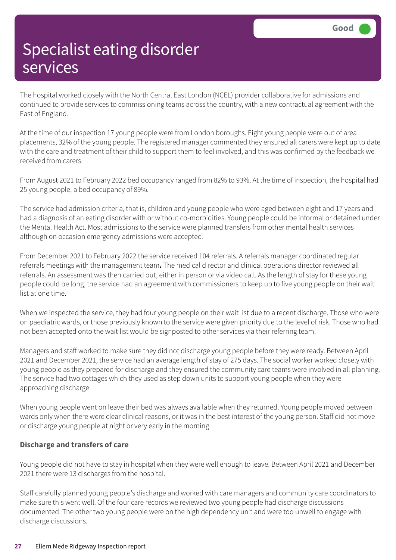The hospital worked closely with the North Central East London (NCEL) provider collaborative for admissions and continued to provide services to commissioning teams across the country, with a new contractual agreement with the East of England.

At the time of our inspection 17 young people were from London boroughs. Eight young people were out of area placements, 32% of the young people. The registered manager commented they ensured all carers were kept up to date with the care and treatment of their child to support them to feel involved, and this was confirmed by the feedback we received from carers.

From August 2021 to February 2022 bed occupancy ranged from 82% to 93%. At the time of inspection, the hospital had 25 young people, a bed occupancy of 89%.

The service had admission criteria, that is, children and young people who were aged between eight and 17 years and had a diagnosis of an eating disorder with or without co-morbidities. Young people could be informal or detained under the Mental Health Act. Most admissions to the service were planned transfers from other mental health services although on occasion emergency admissions were accepted.

From December 2021 to February 2022 the service received 104 referrals. A referrals manager coordinated regular referrals meetings with the management team**.** The medical director and clinical operations director reviewed all referrals. An assessment was then carried out, either in person or via video call. As the length of stay for these young people could be long, the service had an agreement with commissioners to keep up to five young people on their wait list at one time.

When we inspected the service, they had four young people on their wait list due to a recent discharge. Those who were on paediatric wards, or those previously known to the service were given priority due to the level of risk. Those who had not been accepted onto the wait list would be signposted to other services via their referring team.

Managers and staff worked to make sure they did not discharge young people before they were ready. Between April 2021 and December 2021, the service had an average length of stay of 275 days. The social worker worked closely with young people as they prepared for discharge and they ensured the community care teams were involved in all planning. The service had two cottages which they used as step down units to support young people when they were approaching discharge.

When young people went on leave their bed was always available when they returned. Young people moved between wards only when there were clear clinical reasons, or it was in the best interest of the young person. Staff did not move or discharge young people at night or very early in the morning.

#### **Discharge and transfers of care**

Young people did not have to stay in hospital when they were well enough to leave. Between April 2021 and December 2021 there were 13 discharges from the hospital.

Staff carefully planned young people's discharge and worked with care managers and community care coordinators to make sure this went well. Of the four care records we reviewed two young people had discharge discussions documented. The other two young people were on the high dependency unit and were too unwell to engage with discharge discussions.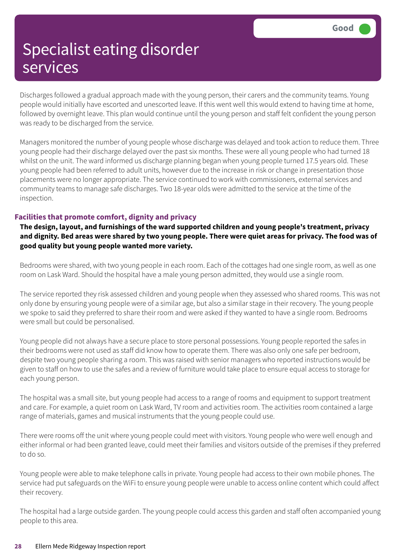Discharges followed a gradual approach made with the young person, their carers and the community teams. Young people would initially have escorted and unescorted leave. If this went well this would extend to having time at home, followed by overnight leave. This plan would continue until the young person and staff felt confident the young person was ready to be discharged from the service.

Managers monitored the number of young people whose discharge was delayed and took action to reduce them. Three young people had their discharge delayed over the past six months. These were all young people who had turned 18 whilst on the unit. The ward informed us discharge planning began when young people turned 17.5 years old. These young people had been referred to adult units, however due to the increase in risk or change in presentation those placements were no longer appropriate. The service continued to work with commissioners, external services and community teams to manage safe discharges. Two 18-year olds were admitted to the service at the time of the inspection.

#### **Facilities that promote comfort, dignity and privacy**

**The design, layout, and furnishings of the ward supported children and young people's treatment, privacy** and dignity. Bed areas were shared by two young people. There were quiet areas for privacy. The food was of **good quality but young people wanted more variety.**

Bedrooms were shared, with two young people in each room. Each of the cottages had one single room, as well as one room on Lask Ward. Should the hospital have a male young person admitted, they would use a single room.

The service reported they risk assessed children and young people when they assessed who shared rooms. This was not only done by ensuring young people were of a similar age, but also a similar stage in their recovery. The young people we spoke to said they preferred to share their room and were asked if they wanted to have a single room. Bedrooms were small but could be personalised.

Young people did not always have a secure place to store personal possessions. Young people reported the safes in their bedrooms were not used as staff did know how to operate them. There was also only one safe per bedroom, despite two young people sharing a room. This was raised with senior managers who reported instructions would be given to staff on how to use the safes and a review of furniture would take place to ensure equal access to storage for each young person.

The hospital was a small site, but young people had access to a range of rooms and equipment to support treatment and care. For example, a quiet room on Lask Ward, TV room and activities room. The activities room contained a large range of materials, games and musical instruments that the young people could use.

There were rooms off the unit where young people could meet with visitors. Young people who were well enough and either informal or had been granted leave, could meet their families and visitors outside of the premises if they preferred to do so.

Young people were able to make telephone calls in private. Young people had access to their own mobile phones. The service had put safeguards on the WiFi to ensure young people were unable to access online content which could affect their recovery.

The hospital had a large outside garden. The young people could access this garden and staff often accompanied young people to this area.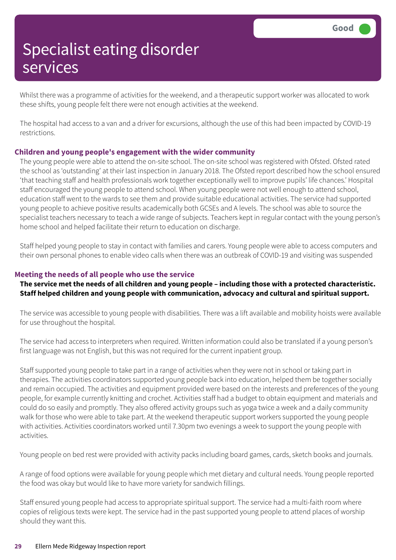Whilst there was a programme of activities for the weekend, and a therapeutic support worker was allocated to work these shifts, young people felt there were not enough activities at the weekend.

The hospital had access to a van and a driver for excursions, although the use of this had been impacted by COVID-19 restrictions.

#### **Children and young people's engagement with the wider community**

The young people were able to attend the on-site school. The on-site school was registered with Ofsted. Ofsted rated the school as 'outstanding' at their last inspection in January 2018. The Ofsted report described how the school ensured 'that teaching staff and health professionals work together exceptionally well to improve pupils' life chances.' Hospital staff encouraged the young people to attend school. When young people were not well enough to attend school, education staff went to the wards to see them and provide suitable educational activities. The service had supported young people to achieve positive results academically both GCSEs and A levels. The school was able to source the specialist teachers necessary to teach a wide range of subjects. Teachers kept in regular contact with the young person's home school and helped facilitate their return to education on discharge.

Staff helped young people to stay in contact with families and carers. Young people were able to access computers and their own personal phones to enable video calls when there was an outbreak of COVID-19 and visiting was suspended

#### **Meeting the needs of all people who use the service**

The service met the needs of all children and young people - including those with a protected characteristic. **Staff helped children and young people with communication, advocacy and cultural and spiritual support.**

The service was accessible to young people with disabilities. There was a lift available and mobility hoists were available for use throughout the hospital.

The service had access to interpreters when required. Written information could also be translated if a young person's first language was not English, but this was not required for the current inpatient group.

Staff supported young people to take part in a range of activities when they were not in school or taking part in therapies. The activities coordinators supported young people back into education, helped them be together socially and remain occupied. The activities and equipment provided were based on the interests and preferences of the young people, for example currently knitting and crochet. Activities staff had a budget to obtain equipment and materials and could do so easily and promptly. They also offered activity groups such as yoga twice a week and a daily community walk for those who were able to take part. At the weekend therapeutic support workers supported the young people with activities. Activities coordinators worked until 7.30pm two evenings a week to support the young people with activities.

Young people on bed rest were provided with activity packs including board games, cards, sketch books and journals.

A range of food options were available for young people which met dietary and cultural needs. Young people reported the food was okay but would like to have more variety for sandwich fillings.

Staff ensured young people had access to appropriate spiritual support. The service had a multi-faith room where copies of religious texts were kept. The service had in the past supported young people to attend places of worship should they want this.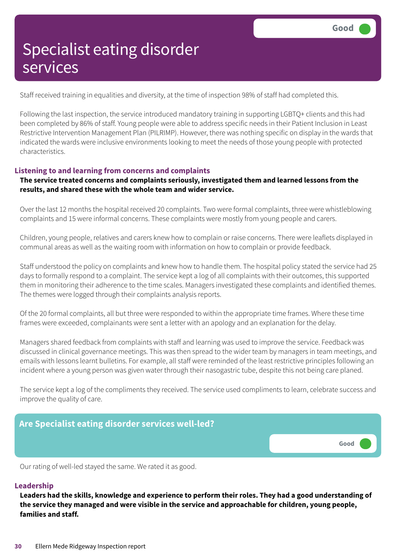Staff received training in equalities and diversity, at the time of inspection 98% of staff had completed this.

Following the last inspection, the service introduced mandatory training in supporting LGBTQ+ clients and this had been completed by 86% of staff. Young people were able to address specific needs in their Patient Inclusion in Least Restrictive Intervention Management Plan (PILRIMP). However, there was nothing specific on display in the wards that indicated the wards were inclusive environments looking to meet the needs of those young people with protected characteristics.

#### **Listening to and learning from concerns and complaints**

#### **The service treated concerns and complaints seriously, investigated them and learned lessons from the results, and shared these with the whole team and wider service.**

Over the last 12 months the hospital received 20 complaints. Two were formal complaints, three were whistleblowing complaints and 15 were informal concerns. These complaints were mostly from young people and carers.

Children, young people, relatives and carers knew how to complain or raise concerns. There were leaflets displayed in communal areas as well as the waiting room with information on how to complain or provide feedback.

Staff understood the policy on complaints and knew how to handle them. The hospital policy stated the service had 25 days to formally respond to a complaint. The service kept a log of all complaints with their outcomes, this supported them in monitoring their adherence to the time scales. Managers investigated these complaints and identified themes. The themes were logged through their complaints analysis reports.

Of the 20 formal complaints, all but three were responded to within the appropriate time frames. Where these time frames were exceeded, complainants were sent a letter with an apology and an explanation for the delay.

Managers shared feedback from complaints with staff and learning was used to improve the service. Feedback was discussed in clinical governance meetings. This was then spread to the wider team by managers in team meetings, and emails with lessons learnt bulletins. For example, all staff were reminded of the least restrictive principles following an incident where a young person was given water through their nasogastric tube, despite this not being care planed.

The service kept a log of the compliments they received. The service used compliments to learn, celebrate success and improve the quality of care.



Our rating of well-led stayed the same. We rated it as good.

#### **Leadership**

**Leaders had the skills, knowledge and experience to perform their roles. They had a good understanding of the service they managed and were visible in the service and approachable for children, young people, families and staff.**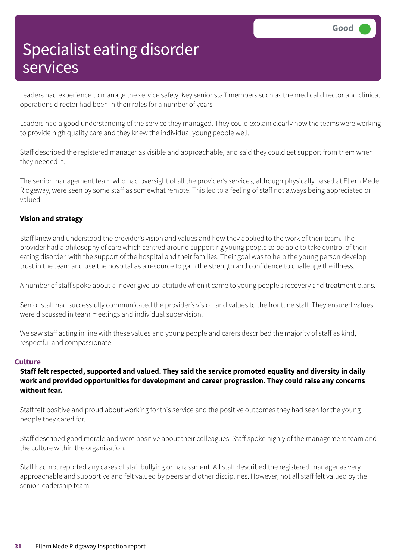Leaders had experience to manage the service safely. Key senior staff members such as the medical director and clinical operations director had been in their roles for a number of years.

Leaders had a good understanding of the service they managed. They could explain clearly how the teams were working to provide high quality care and they knew the individual young people well.

Staff described the registered manager as visible and approachable, and said they could get support from them when they needed it.

The senior management team who had oversight of all the provider's services, although physically based at Ellern Mede Ridgeway, were seen by some staff as somewhat remote. This led to a feeling of staff not always being appreciated or valued.

#### **Vision and strategy**

Staff knew and understood the provider's vision and values and how they applied to the work of their team. The provider had a philosophy of care which centred around supporting young people to be able to take control of their eating disorder, with the support of the hospital and their families. Their goal was to help the young person develop trust in the team and use the hospital as a resource to gain the strength and confidence to challenge the illness.

A number of staff spoke about a 'never give up' attitude when it came to young people's recovery and treatment plans.

Senior staff had successfully communicated the provider's vision and values to the frontline staff. They ensured values were discussed in team meetings and individual supervision.

We saw staff acting in line with these values and young people and carers described the majority of staff as kind, respectful and compassionate.

#### **Culture**

#### **Staff felt respected, supported and valued. They said the service promoted equality and diversity in daily work and provided opportunities for development and career progression. They could raise any concerns without fear.**

Staff felt positive and proud about working for this service and the positive outcomes they had seen for the young people they cared for.

Staff described good morale and were positive about their colleagues. Staff spoke highly of the management team and the culture within the organisation.

Staff had not reported any cases of staff bullying or harassment. All staff described the registered manager as very approachable and supportive and felt valued by peers and other disciplines. However, not all staff felt valued by the senior leadership team.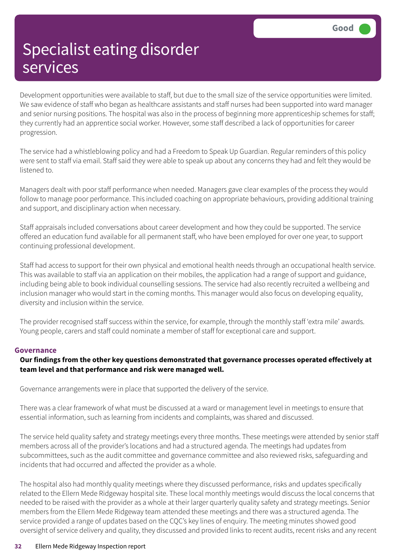Development opportunities were available to staff, but due to the small size of the service opportunities were limited. We saw evidence of staff who began as healthcare assistants and staff nurses had been supported into ward manager and senior nursing positions. The hospital was also in the process of beginning more apprenticeship schemes for staff; they currently had an apprentice social worker. However, some staff described a lack of opportunities for career progression.

The service had a whistleblowing policy and had a Freedom to Speak Up Guardian. Regular reminders of this policy were sent to staff via email. Staff said they were able to speak up about any concerns they had and felt they would be listened to.

Managers dealt with poor staff performance when needed. Managers gave clear examples of the process they would follow to manage poor performance. This included coaching on appropriate behaviours, providing additional training and support, and disciplinary action when necessary.

Staff appraisals included conversations about career development and how they could be supported. The service offered an education fund available for all permanent staff, who have been employed for over one year, to support continuing professional development.

Staff had access to support for their own physical and emotional health needs through an occupational health service. This was available to staff via an application on their mobiles, the application had a range of support and guidance, including being able to book individual counselling sessions. The service had also recently recruited a wellbeing and inclusion manager who would start in the coming months. This manager would also focus on developing equality, diversity and inclusion within the service.

The provider recognised staff success within the service, for example, through the monthly staff 'extra mile' awards. Young people, carers and staff could nominate a member of staff for exceptional care and support.

#### **Governance**

#### **Our findings from the other key questions demonstrated that governance processes operated effectively at team level and that performance and risk were managed well.**

Governance arrangements were in place that supported the delivery of the service.

There was a clear framework of what must be discussed at a ward or management level in meetings to ensure that essential information, such as learning from incidents and complaints, was shared and discussed.

The service held quality safety and strategy meetings every three months. These meetings were attended by senior staff members across all of the provider's locations and had a structured agenda. The meetings had updates from subcommittees, such as the audit committee and governance committee and also reviewed risks, safeguarding and incidents that had occurred and affected the provider as a whole.

The hospital also had monthly quality meetings where they discussed performance, risks and updates specifically related to the Ellern Mede Ridgeway hospital site. These local monthly meetings would discuss the local concerns that needed to be raised with the provider as a whole at their larger quarterly quality safety and strategy meetings. Senior members from the Ellern Mede Ridgeway team attended these meetings and there was a structured agenda. The service provided a range of updates based on the CQC's key lines of enquiry. The meeting minutes showed good oversight of service delivery and quality, they discussed and provided links to recent audits, recent risks and any recent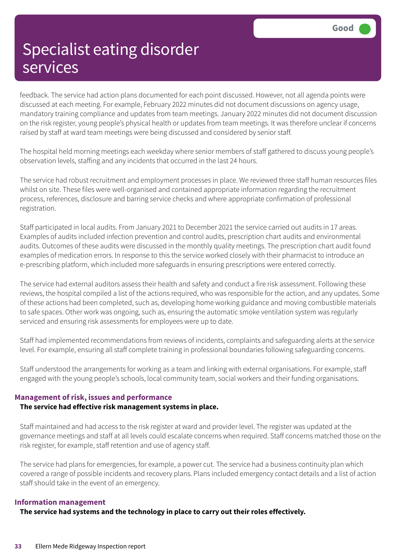feedback. The service had action plans documented for each point discussed. However, not all agenda points were discussed at each meeting. For example, February 2022 minutes did not document discussions on agency usage, mandatory training compliance and updates from team meetings. January 2022 minutes did not document discussion on the risk register, young people's physical health or updates from team meetings. It was therefore unclear if concerns raised by staff at ward team meetings were being discussed and considered by senior staff.

The hospital held morning meetings each weekday where senior members of staff gathered to discuss young people's observation levels, staffing and any incidents that occurred in the last 24 hours.

The service had robust recruitment and employment processes in place. We reviewed three staff human resources files whilst on site. These files were well-organised and contained appropriate information regarding the recruitment process, references, disclosure and barring service checks and where appropriate confirmation of professional registration.

Staff participated in local audits. From January 2021 to December 2021 the service carried out audits in 17 areas. Examples of audits included infection prevention and control audits, prescription chart audits and environmental audits. Outcomes of these audits were discussed in the monthly quality meetings. The prescription chart audit found examples of medication errors. In response to this the service worked closely with their pharmacist to introduce an e-prescribing platform, which included more safeguards in ensuring prescriptions were entered correctly.

The service had external auditors assess their health and safety and conduct a fire risk assessment. Following these reviews, the hospital compiled a list of the actions required, who was responsible for the action, and any updates. Some of these actions had been completed, such as, developing home working guidance and moving combustible materials to safe spaces. Other work was ongoing, such as, ensuring the automatic smoke ventilation system was regularly serviced and ensuring risk assessments for employees were up to date.

Staff had implemented recommendations from reviews of incidents, complaints and safeguarding alerts at the service level. For example, ensuring all staff complete training in professional boundaries following safeguarding concerns.

Staff understood the arrangements for working as a team and linking with external organisations. For example, staff engaged with the young people's schools, local community team, social workers and their funding organisations.

#### **Management of risk, issues and performance**

#### **The service had effective risk management systems in place.**

Staff maintained and had access to the risk register at ward and provider level. The register was updated at the governance meetings and staff at all levels could escalate concerns when required. Staff concerns matched those on the risk register, for example, staff retention and use of agency staff.

The service had plans for emergencies, for example, a power cut. The service had a business continuity plan which covered a range of possible incidents and recovery plans. Plans included emergency contact details and a list of action staff should take in the event of an emergency.

#### **Information management**

**The service had systems and the technology in place to carry out their roles effectively.**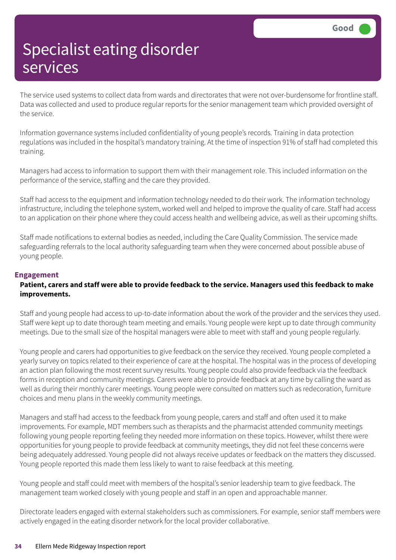The service used systems to collect data from wards and directorates that were not over-burdensome for frontline staff. Data was collected and used to produce regular reports for the senior management team which provided oversight of the service.

Information governance systems included confidentiality of young people's records. Training in data protection regulations was included in the hospital's mandatory training. At the time of inspection 91% of staff had completed this training.

Managers had access to information to support them with their management role. This included information on the performance of the service, staffing and the care they provided.

Staff had access to the equipment and information technology needed to do their work. The information technology infrastructure, including the telephone system, worked well and helped to improve the quality of care. Staff had access to an application on their phone where they could access health and wellbeing advice, as well as their upcoming shifts.

Staff made notifications to external bodies as needed, including the Care Quality Commission. The service made safeguarding referrals to the local authority safeguarding team when they were concerned about possible abuse of young people.

#### **Engagement**

#### Patient, carers and staff were able to provide feedback to the service. Managers used this feedback to make **improvements.**

Staff and young people had access to up-to-date information about the work of the provider and the services they used. Staff were kept up to date thorough team meeting and emails. Young people were kept up to date through community meetings. Due to the small size of the hospital managers were able to meet with staff and young people regularly.

Young people and carers had opportunities to give feedback on the service they received. Young people completed a yearly survey on topics related to their experience of care at the hospital. The hospital was in the process of developing an action plan following the most recent survey results. Young people could also provide feedback via the feedback forms in reception and community meetings. Carers were able to provide feedback at any time by calling the ward as well as during their monthly carer meetings. Young people were consulted on matters such as redecoration, furniture choices and menu plans in the weekly community meetings.

Managers and staff had access to the feedback from young people, carers and staff and often used it to make improvements. For example, MDT members such as therapists and the pharmacist attended community meetings following young people reporting feeling they needed more information on these topics. However, whilst there were opportunities for young people to provide feedback at community meetings, they did not feel these concerns were being adequately addressed. Young people did not always receive updates or feedback on the matters they discussed. Young people reported this made them less likely to want to raise feedback at this meeting.

Young people and staff could meet with members of the hospital's senior leadership team to give feedback. The management team worked closely with young people and staff in an open and approachable manner.

Directorate leaders engaged with external stakeholders such as commissioners. For example, senior staff members were actively engaged in the eating disorder network for the local provider collaborative.